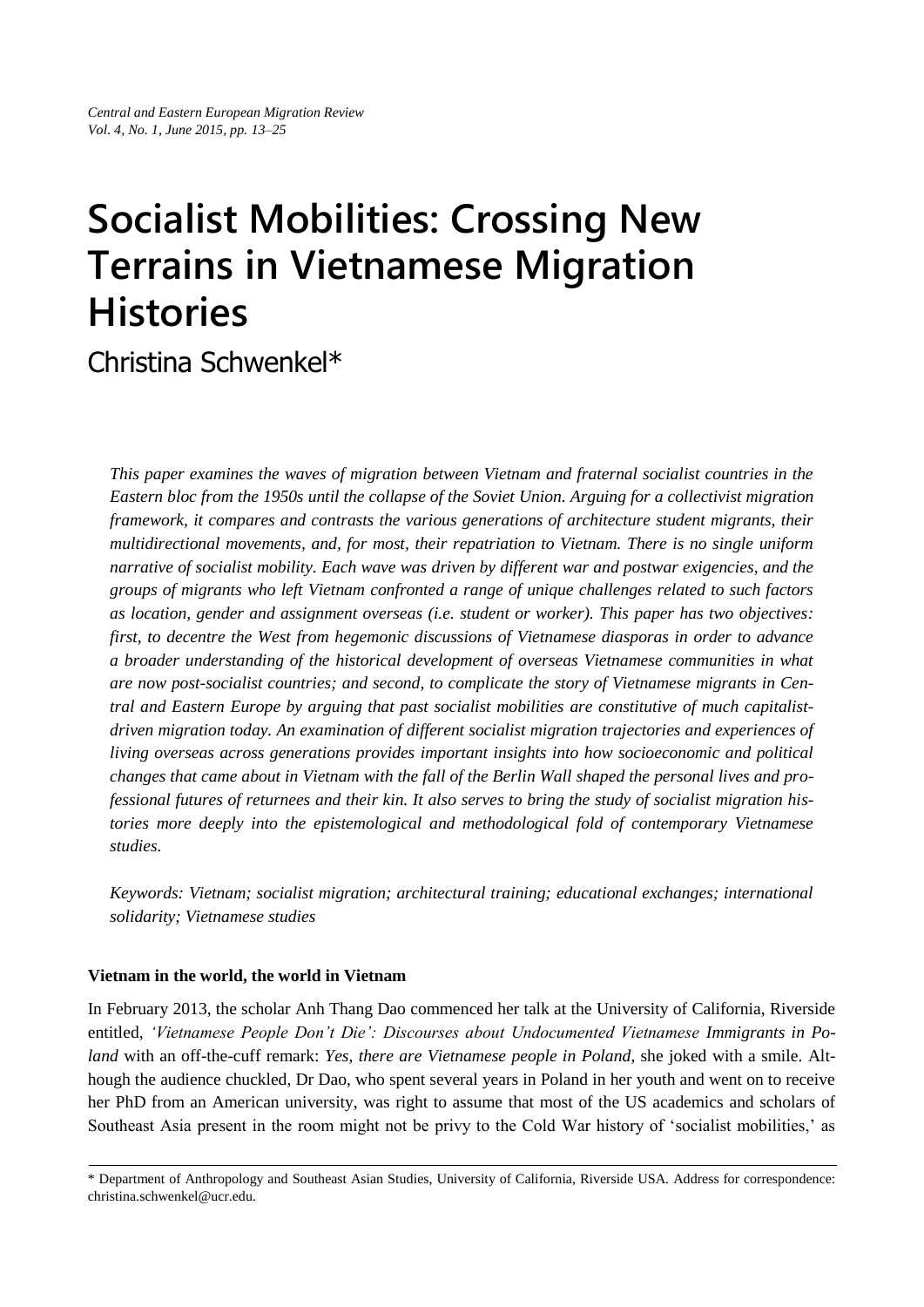# **Socialist Mobilities: Crossing New Terrains in Vietnamese Migration Histories**

Christina Schwenkel\*

*This paper examines the waves of migration between Vietnam and fraternal socialist countries in the Eastern bloc from the 1950s until the collapse of the Soviet Union. Arguing for a collectivist migration framework, it compares and contrasts the various generations of architecture student migrants, their multidirectional movements, and, for most, their repatriation to Vietnam. There is no single uniform narrative of socialist mobility. Each wave was driven by different war and postwar exigencies, and the groups of migrants who left Vietnam confronted a range of unique challenges related to such factors as location, gender and assignment overseas (i.e. student or worker). This paper has two objectives: first, to decentre the West from hegemonic discussions of Vietnamese diasporas in order to advance a broader understanding of the historical development of overseas Vietnamese communities in what are now post-socialist countries; and second, to complicate the story of Vietnamese migrants in Central and Eastern Europe by arguing that past socialist mobilities are constitutive of much capitalistdriven migration today. An examination of different socialist migration trajectories and experiences of living overseas across generations provides important insights into how socioeconomic and political changes that came about in Vietnam with the fall of the Berlin Wall shaped the personal lives and professional futures of returnees and their kin. It also serves to bring the study of socialist migration histories more deeply into the epistemological and methodological fold of contemporary Vietnamese studies.* 

*Keywords: Vietnam; socialist migration; architectural training; educational exchanges; international solidarity; Vietnamese studies*

## **Vietnam in the world, the world in Vietnam**

In February 2013, the scholar Anh Thang Dao commenced her talk at the University of California, Riverside entitled, *'Vietnamese People Don't Die': Discourses about Undocumented Vietnamese Immigrants in Poland* with an off-the-cuff remark: *Yes, there are Vietnamese people in Poland*, she joked with a smile. Although the audience chuckled, Dr Dao, who spent several years in Poland in her youth and went on to receive her PhD from an American university, was right to assume that most of the US academics and scholars of Southeast Asia present in the room might not be privy to the Cold War history of 'socialist mobilities,' as

<sup>\*</sup> Department of Anthropology and Southeast Asian Studies, University of California, Riverside USA. Address for correspondence: christina.schwenkel@ucr.edu.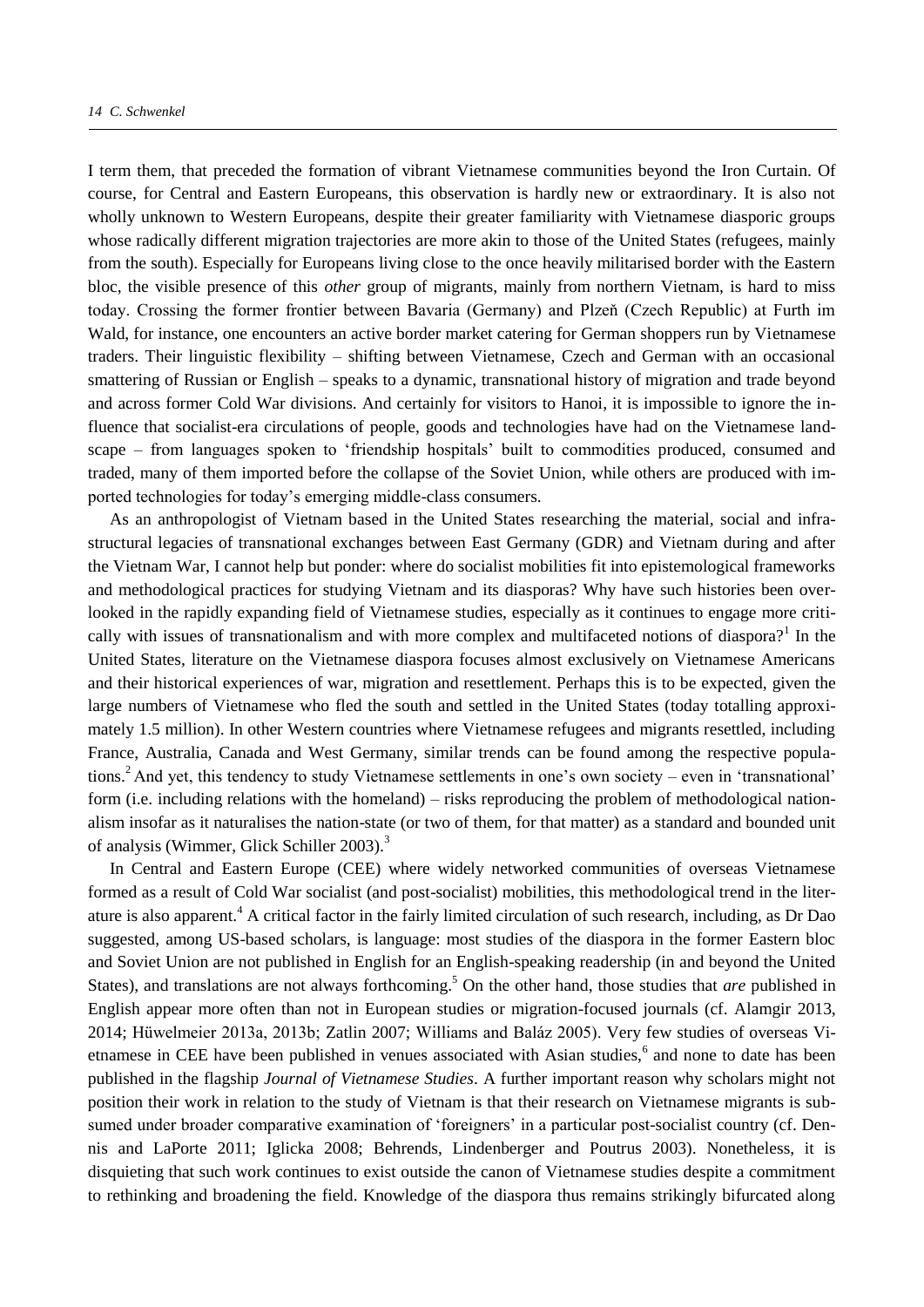I term them, that preceded the formation of vibrant Vietnamese communities beyond the Iron Curtain. Of course, for Central and Eastern Europeans, this observation is hardly new or extraordinary. It is also not wholly unknown to Western Europeans, despite their greater familiarity with Vietnamese diasporic groups whose radically different migration trajectories are more akin to those of the United States (refugees, mainly from the south). Especially for Europeans living close to the once heavily militarised border with the Eastern bloc, the visible presence of this *other* group of migrants, mainly from northern Vietnam, is hard to miss today. Crossing the former frontier between Bavaria (Germany) and Plzeň (Czech Republic) at Furth im Wald, for instance, one encounters an active border market catering for German shoppers run by Vietnamese traders. Their linguistic flexibility – shifting between Vietnamese, Czech and German with an occasional smattering of Russian or English – speaks to a dynamic, transnational history of migration and trade beyond and across former Cold War divisions. And certainly for visitors to Hanoi, it is impossible to ignore the influence that socialist-era circulations of people, goods and technologies have had on the Vietnamese landscape – from languages spoken to 'friendship hospitals' built to commodities produced, consumed and traded, many of them imported before the collapse of the Soviet Union, while others are produced with imported technologies for today's emerging middle-class consumers.

As an anthropologist of Vietnam based in the United States researching the material, social and infrastructural legacies of transnational exchanges between East Germany (GDR) and Vietnam during and after the Vietnam War, I cannot help but ponder: where do socialist mobilities fit into epistemological frameworks and methodological practices for studying Vietnam and its diasporas? Why have such histories been overlooked in the rapidly expanding field of Vietnamese studies, especially as it continues to engage more critically with issues of transnationalism and with more complex and multifaceted notions of diaspora?<sup>1</sup> In the United States, literature on the Vietnamese diaspora focuses almost exclusively on Vietnamese Americans and their historical experiences of war, migration and resettlement. Perhaps this is to be expected, given the large numbers of Vietnamese who fled the south and settled in the United States (today totalling approximately 1.5 million). In other Western countries where Vietnamese refugees and migrants resettled, including France, Australia, Canada and West Germany, similar trends can be found among the respective populations.<sup>2</sup> And yet, this tendency to study Vietnamese settlements in one's own society – even in 'transnational' form (i.e. including relations with the homeland) – risks reproducing the problem of methodological nationalism insofar as it naturalises the nation-state (or two of them, for that matter) as a standard and bounded unit of analysis (Wimmer, Glick Schiller 2003).<sup>3</sup>

In Central and Eastern Europe (CEE) where widely networked communities of overseas Vietnamese formed as a result of Cold War socialist (and post-socialist) mobilities, this methodological trend in the literature is also apparent.<sup>4</sup> A critical factor in the fairly limited circulation of such research, including, as Dr Dao suggested, among US-based scholars, is language: most studies of the diaspora in the former Eastern bloc and Soviet Union are not published in English for an English-speaking readership (in and beyond the United States), and translations are not always forthcoming.<sup>5</sup> On the other hand, those studies that *are* published in English appear more often than not in European studies or migration-focused journals (cf. Alamgir 2013, 2014; Hüwelmeier 2013a, 2013b; Zatlin 2007; Williams and Baláz 2005). Very few studies of overseas Vietnamese in CEE have been published in venues associated with Asian studies,<sup>6</sup> and none to date has been published in the flagship *Journal of Vietnamese Studies*. A further important reason why scholars might not position their work in relation to the study of Vietnam is that their research on Vietnamese migrants is subsumed under broader comparative examination of 'foreigners' in a particular post-socialist country (cf. Dennis and LaPorte 2011; Iglicka 2008; Behrends, Lindenberger and Poutrus 2003). Nonetheless, it is disquieting that such work continues to exist outside the canon of Vietnamese studies despite a commitment to rethinking and broadening the field. Knowledge of the diaspora thus remains strikingly bifurcated along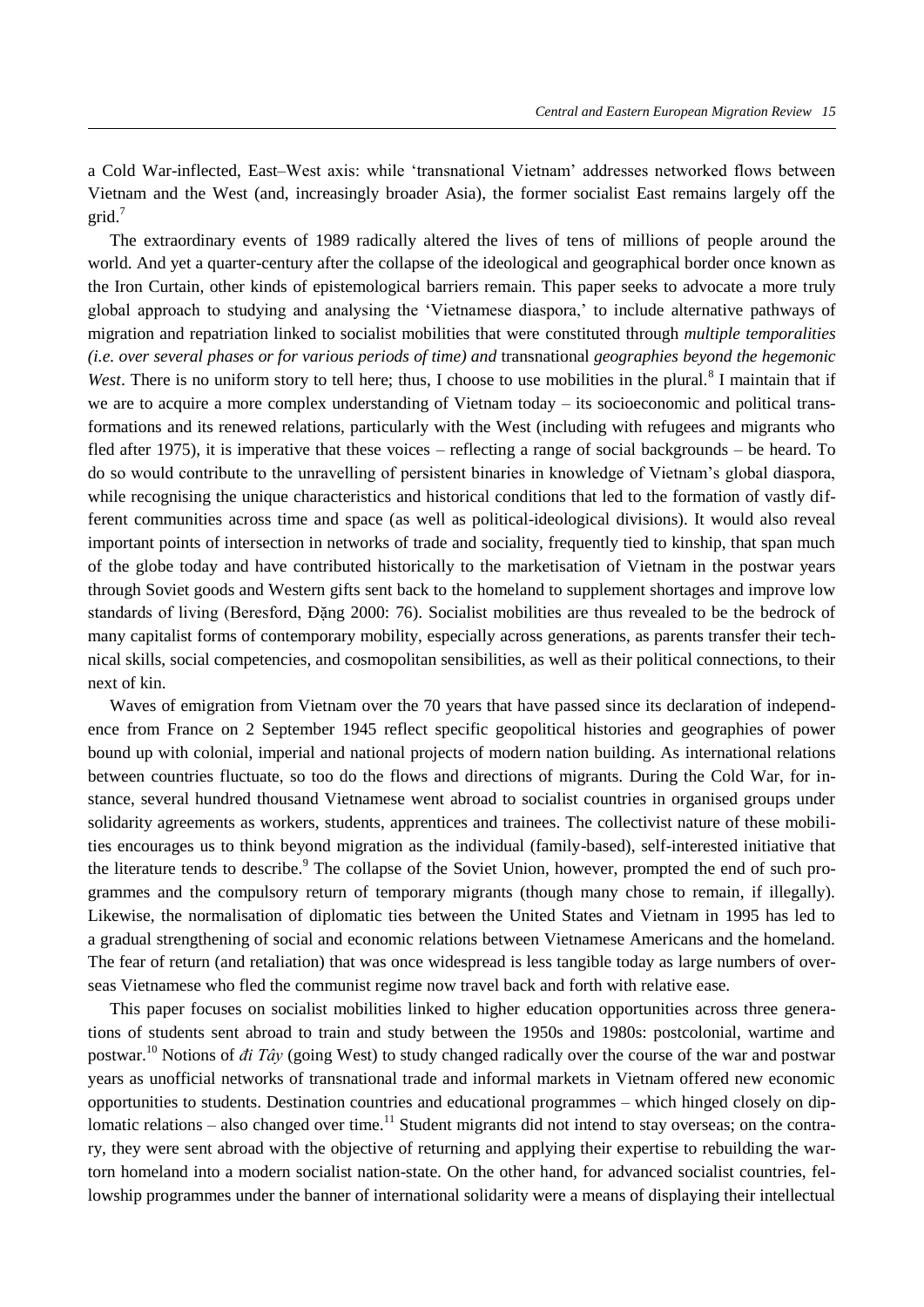a Cold War-inflected, East–West axis: while 'transnational Vietnam' addresses networked flows between Vietnam and the West (and, increasingly broader Asia), the former socialist East remains largely off the grid.<sup>7</sup>

The extraordinary events of 1989 radically altered the lives of tens of millions of people around the world. And yet a quarter-century after the collapse of the ideological and geographical border once known as the Iron Curtain, other kinds of epistemological barriers remain. This paper seeks to advocate a more truly global approach to studying and analysing the 'Vietnamese diaspora,' to include alternative pathways of migration and repatriation linked to socialist mobilities that were constituted through *multiple temporalities (i.e. over several phases or for various periods of time) and* transnational *geographies beyond the hegemonic*  West. There is no uniform story to tell here; thus, I choose to use mobilities in the plural.<sup>8</sup> I maintain that if we are to acquire a more complex understanding of Vietnam today – its socioeconomic and political transformations and its renewed relations, particularly with the West (including with refugees and migrants who fled after 1975), it is imperative that these voices – reflecting a range of social backgrounds – be heard. To do so would contribute to the unravelling of persistent binaries in knowledge of Vietnam's global diaspora, while recognising the unique characteristics and historical conditions that led to the formation of vastly different communities across time and space (as well as political-ideological divisions). It would also reveal important points of intersection in networks of trade and sociality, frequently tied to kinship, that span much of the globe today and have contributed historically to the marketisation of Vietnam in the postwar years through Soviet goods and Western gifts sent back to the homeland to supplement shortages and improve low standards of living (Beresford, Đăng 2000: 76). Socialist mobilities are thus revealed to be the bedrock of many capitalist forms of contemporary mobility, especially across generations, as parents transfer their technical skills, social competencies, and cosmopolitan sensibilities, as well as their political connections, to their next of kin.

Waves of emigration from Vietnam over the 70 years that have passed since its declaration of independence from France on 2 September 1945 reflect specific geopolitical histories and geographies of power bound up with colonial, imperial and national projects of modern nation building. As international relations between countries fluctuate, so too do the flows and directions of migrants. During the Cold War, for instance, several hundred thousand Vietnamese went abroad to socialist countries in organised groups under solidarity agreements as workers, students, apprentices and trainees. The collectivist nature of these mobilities encourages us to think beyond migration as the individual (family-based), self-interested initiative that the literature tends to describe.<sup>9</sup> The collapse of the Soviet Union, however, prompted the end of such programmes and the compulsory return of temporary migrants (though many chose to remain, if illegally). Likewise, the normalisation of diplomatic ties between the United States and Vietnam in 1995 has led to a gradual strengthening of social and economic relations between Vietnamese Americans and the homeland. The fear of return (and retaliation) that was once widespread is less tangible today as large numbers of overseas Vietnamese who fled the communist regime now travel back and forth with relative ease.

This paper focuses on socialist mobilities linked to higher education opportunities across three generations of students sent abroad to train and study between the 1950s and 1980s: postcolonial, wartime and postwar.<sup>10</sup> Notions of *đi Tây* (going West) to study changed radically over the course of the war and postwar years as unofficial networks of transnational trade and informal markets in Vietnam offered new economic opportunities to students. Destination countries and educational programmes – which hinged closely on diplomatic relations – also changed over time.<sup>11</sup> Student migrants did not intend to stay overseas; on the contrary, they were sent abroad with the objective of returning and applying their expertise to rebuilding the wartorn homeland into a modern socialist nation-state. On the other hand, for advanced socialist countries, fellowship programmes under the banner of international solidarity were a means of displaying their intellectual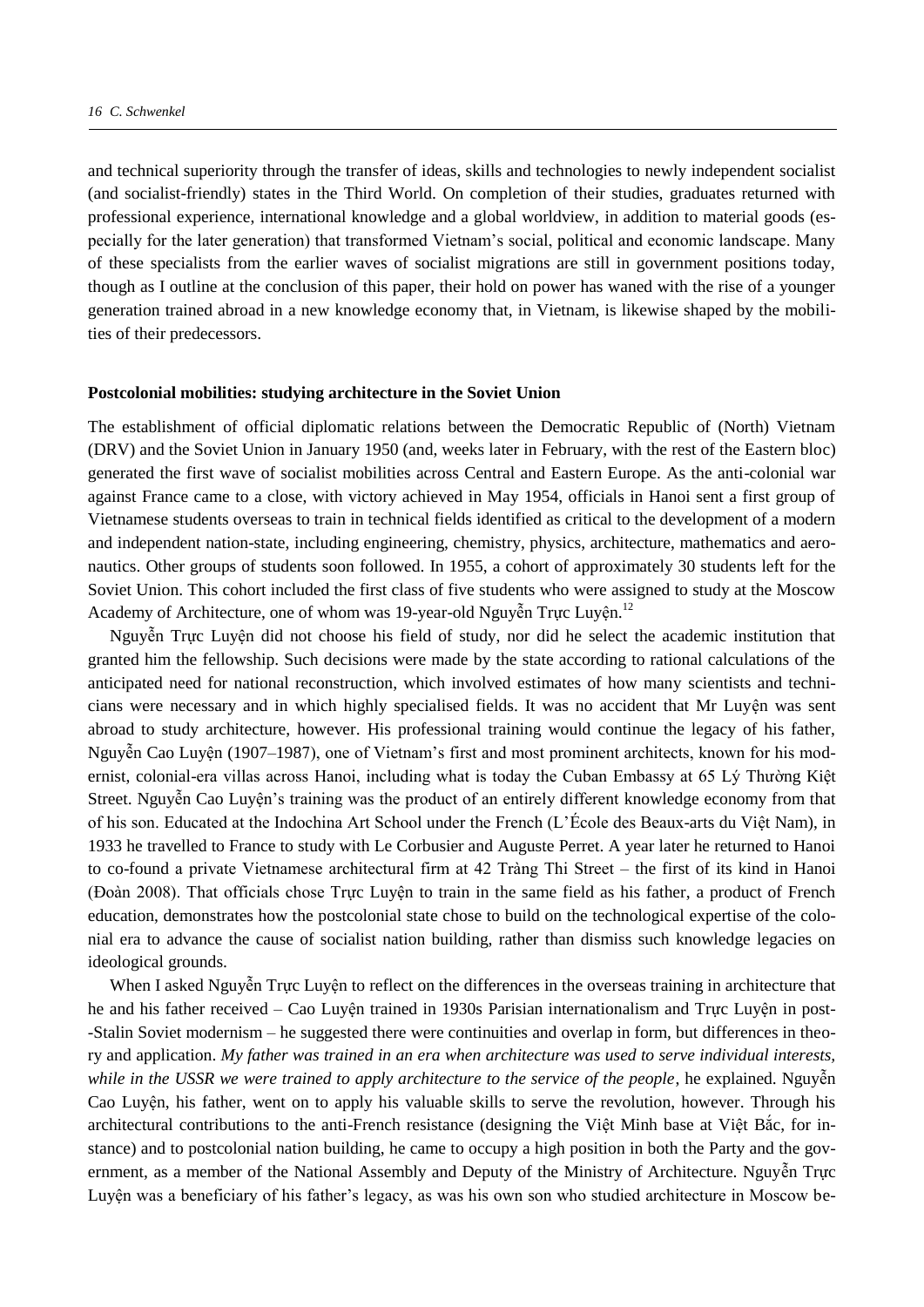and technical superiority through the transfer of ideas, skills and technologies to newly independent socialist (and socialist-friendly) states in the Third World. On completion of their studies, graduates returned with professional experience, international knowledge and a global worldview, in addition to material goods (especially for the later generation) that transformed Vietnam's social, political and economic landscape. Many of these specialists from the earlier waves of socialist migrations are still in government positions today, though as I outline at the conclusion of this paper, their hold on power has waned with the rise of a younger generation trained abroad in a new knowledge economy that, in Vietnam, is likewise shaped by the mobilities of their predecessors.

#### **Postcolonial mobilities: studying architecture in the Soviet Union**

The establishment of official diplomatic relations between the Democratic Republic of (North) Vietnam (DRV) and the Soviet Union in January 1950 (and, weeks later in February, with the rest of the Eastern bloc) generated the first wave of socialist mobilities across Central and Eastern Europe. As the anti-colonial war against France came to a close, with victory achieved in May 1954, officials in Hanoi sent a first group of Vietnamese students overseas to train in technical fields identified as critical to the development of a modern and independent nation-state, including engineering, chemistry, physics, architecture, mathematics and aeronautics. Other groups of students soon followed. In 1955, a cohort of approximately 30 students left for the Soviet Union. This cohort included the first class of five students who were assigned to study at the Moscow Academy of Architecture, one of whom was 19-year-old Nguyễn Trực Luyện.<sup>12</sup>

Nguyễn Trực Luyện did not choose his field of study, nor did he select the academic institution that granted him the fellowship. Such decisions were made by the state according to rational calculations of the anticipated need for national reconstruction, which involved estimates of how many scientists and technicians were necessary and in which highly specialised fields. It was no accident that Mr Luyện was sent abroad to study architecture, however. His professional training would continue the legacy of his father, Nguyễn Cao Luyện (1907–1987), one of Vietnam's first and most prominent architects, known for his modernist, colonial-era villas across Hanoi, including what is today the Cuban Embassy at 65 Lý Thường Kiệt Street. Nguyễn Cao Luyện's training was the product of an entirely different knowledge economy from that of his son. Educated at the ndochina Art School under the French (L'École des Beaux-arts du Việt Nam), in 1933 he travelled to France to study with Le Corbusier and Auguste Perret. A year later he returned to Hanoi to co-found a private Vietnamese architectural firm at 42 Tràng Thi Street – the first of its kind in Hanoi (Đoàn 2008). That officials chose Truc Luyện to train in the same field as his father, a product of French education, demonstrates how the postcolonial state chose to build on the technological expertise of the colonial era to advance the cause of socialist nation building, rather than dismiss such knowledge legacies on ideological grounds.

When I asked Nguyễn Trực Luyện to reflect on the differences in the overseas training in architecture that he and his father received – Cao Luyện trained in 1930s Parisian internationalism and Trực Luyện in post- -Stalin Soviet modernism – he suggested there were continuities and overlap in form, but differences in theory and application. *My father was trained in an era when architecture was used to serve individual interests, while in the USSR we were trained to apply architecture to the service of the people*, he explained. Nguyễn Cao Luyện, his father, went on to apply his valuable skills to serve the revolution, however. Through his architectural contributions to the anti-French resistance (designing the Việt Minh base at Việt Bắc, for instance) and to postcolonial nation building, he came to occupy a high position in both the Party and the government, as a member of the National Assembly and Deputy of the Ministry of Architecture. Nguyễn Trực Luyện was a beneficiary of his father's legacy, as was his own son who studied architecture in Moscow be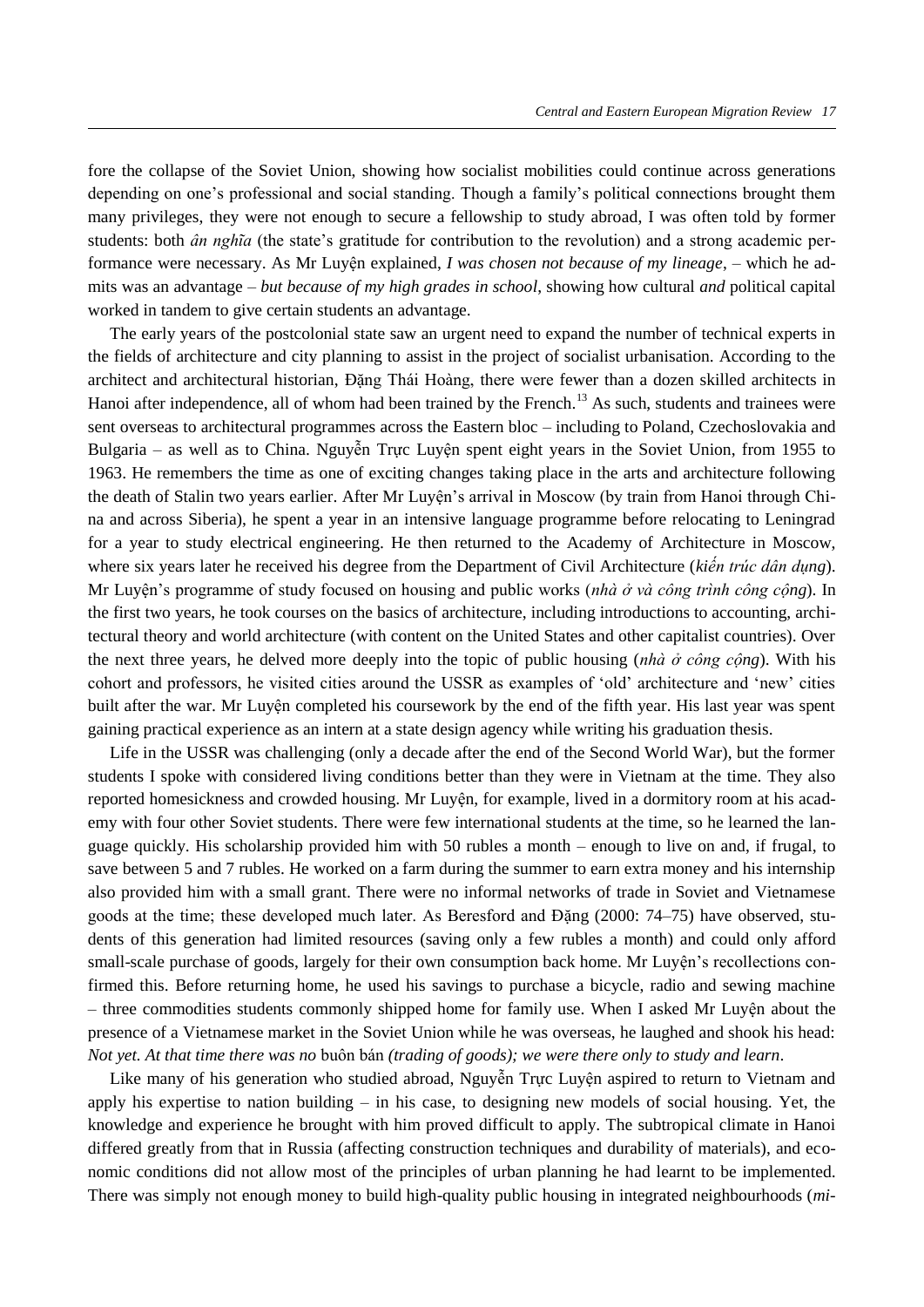fore the collapse of the Soviet Union, showing how socialist mobilities could continue across generations depending on one's professional and social standing. Though a family's political connections brought them many privileges, they were not enough to secure a fellowship to study abroad, I was often told by former students: both *ân nghĩa* (the state's gratitude for contribution to the revolution) and a strong academic performance were necessary. As Mr Luyện explained, *I was chosen not because of my lineage*, – which he admits was an advantage – *but because of my high grades in school*, showing how cultural *and* political capital worked in tandem to give certain students an advantage.

The early years of the postcolonial state saw an urgent need to expand the number of technical experts in the fields of architecture and city planning to assist in the project of socialist urbanisation. According to the architect and architectural historian, Đăng Thái Hoàng, there were fewer than a dozen skilled architects in Hanoi after independence, all of whom had been trained by the French.<sup>13</sup> As such, students and trainees were sent overseas to architectural programmes across the Eastern bloc – including to Poland, Czechoslovakia and Bulgaria – as well as to China. Nguyễn Trực Luyện spent eight years in the Soviet Union, from 1955 to 1963. He remembers the time as one of exciting changes taking place in the arts and architecture following the death of Stalin two years earlier. After Mr Luyện's arrival in Moscow (by train from Hanoi through China and across Siberia), he spent a year in an intensive language programme before relocating to Leningrad for a year to study electrical engineering. He then returned to the Academy of Architecture in Moscow, where six years later he received his degree from the Department of Civil Architecture (*kiến trúc dân dụng*). Mr Luyện's programme of study focused on housing and public works (*nhà ở và công trình công cộng*). In the first two years, he took courses on the basics of architecture, including introductions to accounting, architectural theory and world architecture (with content on the United States and other capitalist countries). Over the next three years, he delved more deeply into the topic of public housing (*nhà ở công cộng*). With his cohort and professors, he visited cities around the USSR as examples of 'old' architecture and 'new' cities built after the war. Mr Luyện completed his coursework by the end of the fifth year. His last year was spent gaining practical experience as an intern at a state design agency while writing his graduation thesis.

Life in the USSR was challenging (only a decade after the end of the Second World War), but the former students I spoke with considered living conditions better than they were in Vietnam at the time. They also reported homesickness and crowded housing. Mr Luyện, for example, lived in a dormitory room at his academy with four other Soviet students. There were few international students at the time, so he learned the language quickly. His scholarship provided him with 50 rubles a month – enough to live on and, if frugal, to save between 5 and 7 rubles. He worked on a farm during the summer to earn extra money and his internship also provided him with a small grant. There were no informal networks of trade in Soviet and Vietnamese goods at the time; these developed much later. As Beresford and ặng (2000: 74–75) have observed, students of this generation had limited resources (saving only a few rubles a month) and could only afford small-scale purchase of goods, largely for their own consumption back home. Mr Luyện's recollections confirmed this. Before returning home, he used his savings to purchase a bicycle, radio and sewing machine – three commodities students commonly shipped home for family use. When I asked Mr Luyện about the presence of a Vietnamese market in the Soviet Union while he was overseas, he laughed and shook his head: *Not yet. At that time there was no buôn bán (trading of goods); we were there only to study and learn.* 

Like many of his generation who studied abroad, Nguyễn Trực Luyện aspired to return to Vietnam and apply his expertise to nation building – in his case, to designing new models of social housing. Yet, the knowledge and experience he brought with him proved difficult to apply. The subtropical climate in Hanoi differed greatly from that in Russia (affecting construction techniques and durability of materials), and economic conditions did not allow most of the principles of urban planning he had learnt to be implemented. There was simply not enough money to build high-quality public housing in integrated neighbourhoods (*mi-*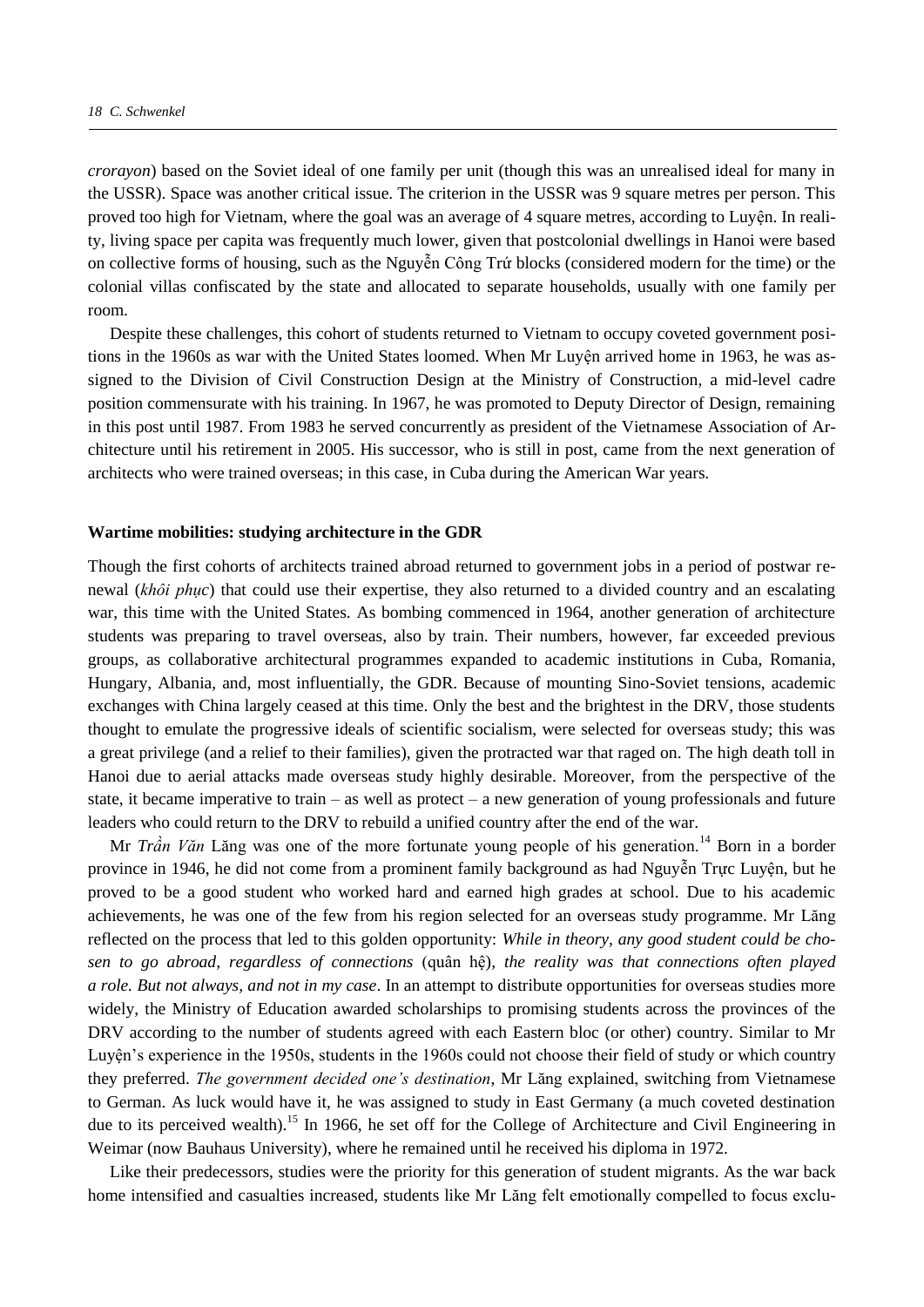*crorayon*) based on the Soviet ideal of one family per unit (though this was an unrealised ideal for many in the USSR). Space was another critical issue. The criterion in the USSR was 9 square metres per person. This proved too high for Vietnam, where the goal was an average of 4 square metres, according to Luyện. In reality, living space per capita was frequently much lower, given that postcolonial dwellings in Hanoi were based on collective forms of housing, such as the Nguyễn Công Trứ blocks (considered modern for the time) or the colonial villas confiscated by the state and allocated to separate households, usually with one family per room.

Despite these challenges, this cohort of students returned to Vietnam to occupy coveted government positions in the 1960s as war with the United States loomed. When Mr Luyện arrived home in 1963, he was assigned to the Division of Civil Construction Design at the Ministry of Construction, a mid-level cadre position commensurate with his training. In 1967, he was promoted to Deputy Director of Design, remaining in this post until 1987. From 1983 he served concurrently as president of the Vietnamese Association of Architecture until his retirement in 2005. His successor, who is still in post, came from the next generation of architects who were trained overseas; in this case, in Cuba during the American War years.

#### **Wartime mobilities: studying architecture in the GDR**

Though the first cohorts of architects trained abroad returned to government jobs in a period of postwar renewal (*khôi phục*) that could use their expertise, they also returned to a divided country and an escalating war, this time with the United States. As bombing commenced in 1964, another generation of architecture students was preparing to travel overseas, also by train. Their numbers, however, far exceeded previous groups, as collaborative architectural programmes expanded to academic institutions in Cuba, Romania, Hungary, Albania, and, most influentially, the GDR. Because of mounting Sino-Soviet tensions, academic exchanges with China largely ceased at this time. Only the best and the brightest in the DRV, those students thought to emulate the progressive ideals of scientific socialism, were selected for overseas study; this was a great privilege (and a relief to their families), given the protracted war that raged on. The high death toll in Hanoi due to aerial attacks made overseas study highly desirable. Moreover, from the perspective of the state, it became imperative to train – as well as protect – a new generation of young professionals and future leaders who could return to the DRV to rebuild a unified country after the end of the war.

Mr *Trần Văn* Lăng was one of the more fortunate young people of his generation.<sup>14</sup> Born in a border province in 1946, he did not come from a prominent family background as had Nguyễn Trực Luyện, but he proved to be a good student who worked hard and earned high grades at school. Due to his academic achievements, he was one of the few from his region selected for an overseas study programme. Mr Lăng reflected on the process that led to this golden opportunity: *While in theory, any good student could be chosen to go abroad, regardless of connections* (quân hệ)*, the reality was that connections often played a role. But not always, and not in my case*. In an attempt to distribute opportunities for overseas studies more widely, the Ministry of Education awarded scholarships to promising students across the provinces of the DRV according to the number of students agreed with each Eastern bloc (or other) country. Similar to Mr Luyện's experience in the 1950s, students in the 1960s could not choose their field of study or which country they preferred. *The government decided one's destination*, Mr Lăng explained, switching from Vietnamese to German. As luck would have it, he was assigned to study in East Germany (a much coveted destination due to its perceived wealth).<sup>15</sup> In 1966, he set off for the College of Architecture and Civil Engineering in Weimar (now Bauhaus University), where he remained until he received his diploma in 1972.

Like their predecessors, studies were the priority for this generation of student migrants. As the war back home intensified and casualties increased, students like Mr Lăng felt emotionally compelled to focus exclu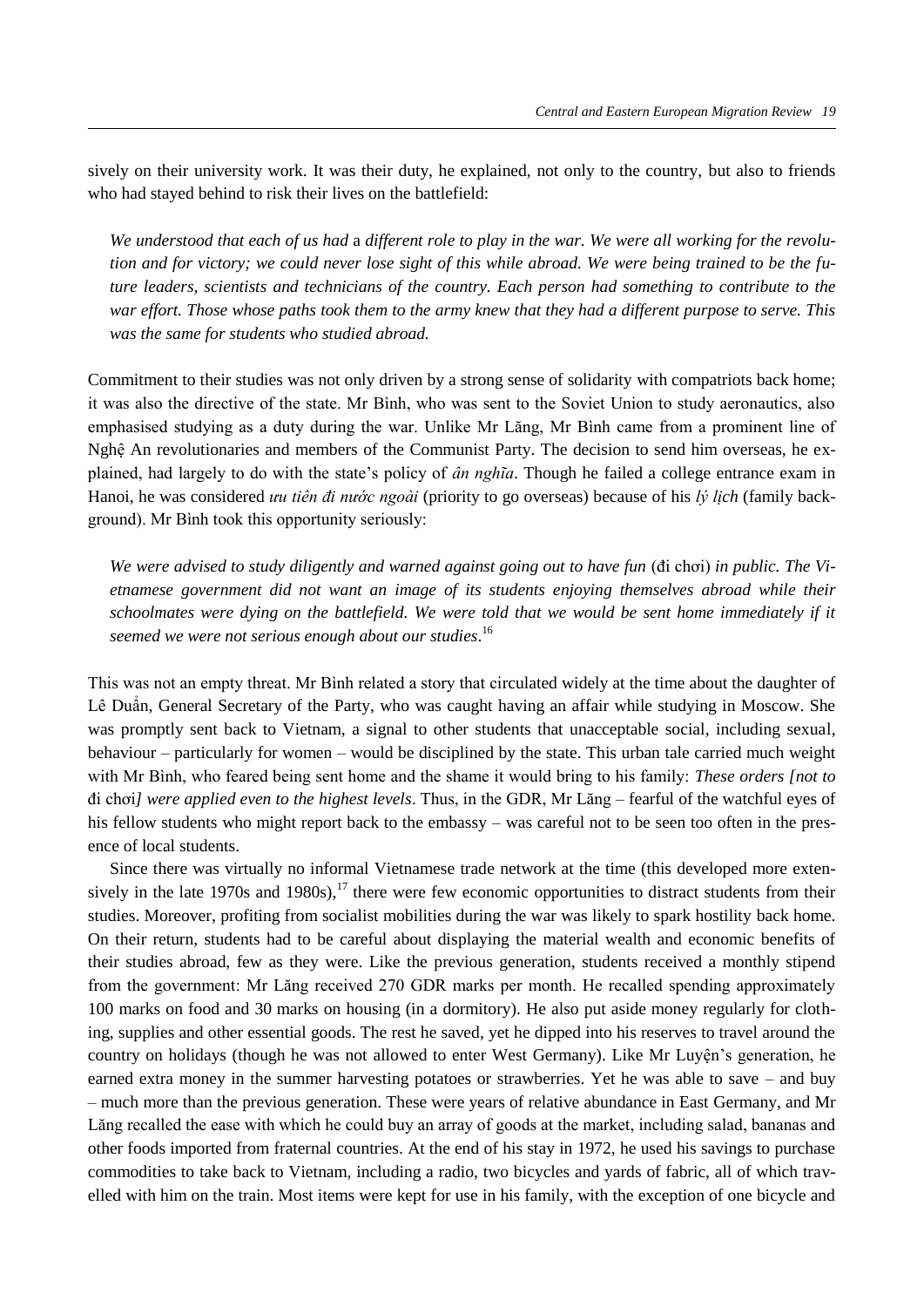sively on their university work. It was their duty, he explained, not only to the country, but also to friends who had stayed behind to risk their lives on the battlefield:

*We understood that each of us had* a *different role to play in the war. We were all working for the revolution and for victory; we could never lose sight of this while abroad. We were being trained to be the future leaders, scientists and technicians of the country. Each person had something to contribute to the war effort. Those whose paths took them to the army knew that they had a different purpose to serve. This was the same for students who studied abroad.* 

Commitment to their studies was not only driven by a strong sense of solidarity with compatriots back home; it was also the directive of the state. Mr Bình, who was sent to the Soviet Union to study aeronautics, also emphasised studying as a duty during the war. Unlike Mr Lăng, Mr Bình came from a prominent line of Nghệ An revolutionaries and members of the Communist Party. The decision to send him overseas, he explained, had largely to do with the state's policy of *ân nghĩa*. Though he failed a college entrance exam in Hanoi, he was considered *ưu tiên đi nước ngoài* (priority to go overseas) because of his *lý lịch* (family background). Mr Bình took this opportunity seriously:

*We were advised to study diligently and warned against going out to have fun (di choi) in public. The Vietnamese government did not want an image of its students enjoying themselves abroad while their schoolmates were dying on the battlefield. We were told that we would be sent home immediately if it seemed we were not serious enough about our studies*. 16

 his was not an empty threat. Mr Bình related a story that circulated widely at the time about the daughter of Lê Duẩn, General Secretary of the Party, who was caught having an affair while studying in Moscow. She was promptly sent back to Vietnam, a signal to other students that unacceptable social, including sexual, behaviour – particularly for women – would be disciplined by the state. This urban tale carried much weight with Mr Bình, who feared being sent home and the shame it would bring to his family: *These orders [not to*  đi ch i*] were applied even to the highest levels*. hus, in the GDR, Mr Lăng – fearful of the watchful eyes of his fellow students who might report back to the embassy – was careful not to be seen too often in the presence of local students.

Since there was virtually no informal Vietnamese trade network at the time (this developed more extensively in the late  $1970s$  and  $1980s$ ),<sup>17</sup> there were few economic opportunities to distract students from their studies. Moreover, profiting from socialist mobilities during the war was likely to spark hostility back home. On their return, students had to be careful about displaying the material wealth and economic benefits of their studies abroad, few as they were. Like the previous generation, students received a monthly stipend from the government: Mr Lăng received 270 GDR marks per month. He recalled spending approximately 100 marks on food and 30 marks on housing (in a dormitory). He also put aside money regularly for clothing, supplies and other essential goods. The rest he saved, yet he dipped into his reserves to travel around the country on holidays (though he was not allowed to enter West Germany). Like Mr Luyện's generation, he earned extra money in the summer harvesting potatoes or strawberries. Yet he was able to save – and buy – much more than the previous generation. These were years of relative abundance in East Germany, and Mr Lăng recalled the ease with which he could buy an array of goods at the market, including salad, bananas and other foods imported from fraternal countries. At the end of his stay in 1972, he used his savings to purchase commodities to take back to Vietnam, including a radio, two bicycles and yards of fabric, all of which travelled with him on the train. Most items were kept for use in his family, with the exception of one bicycle and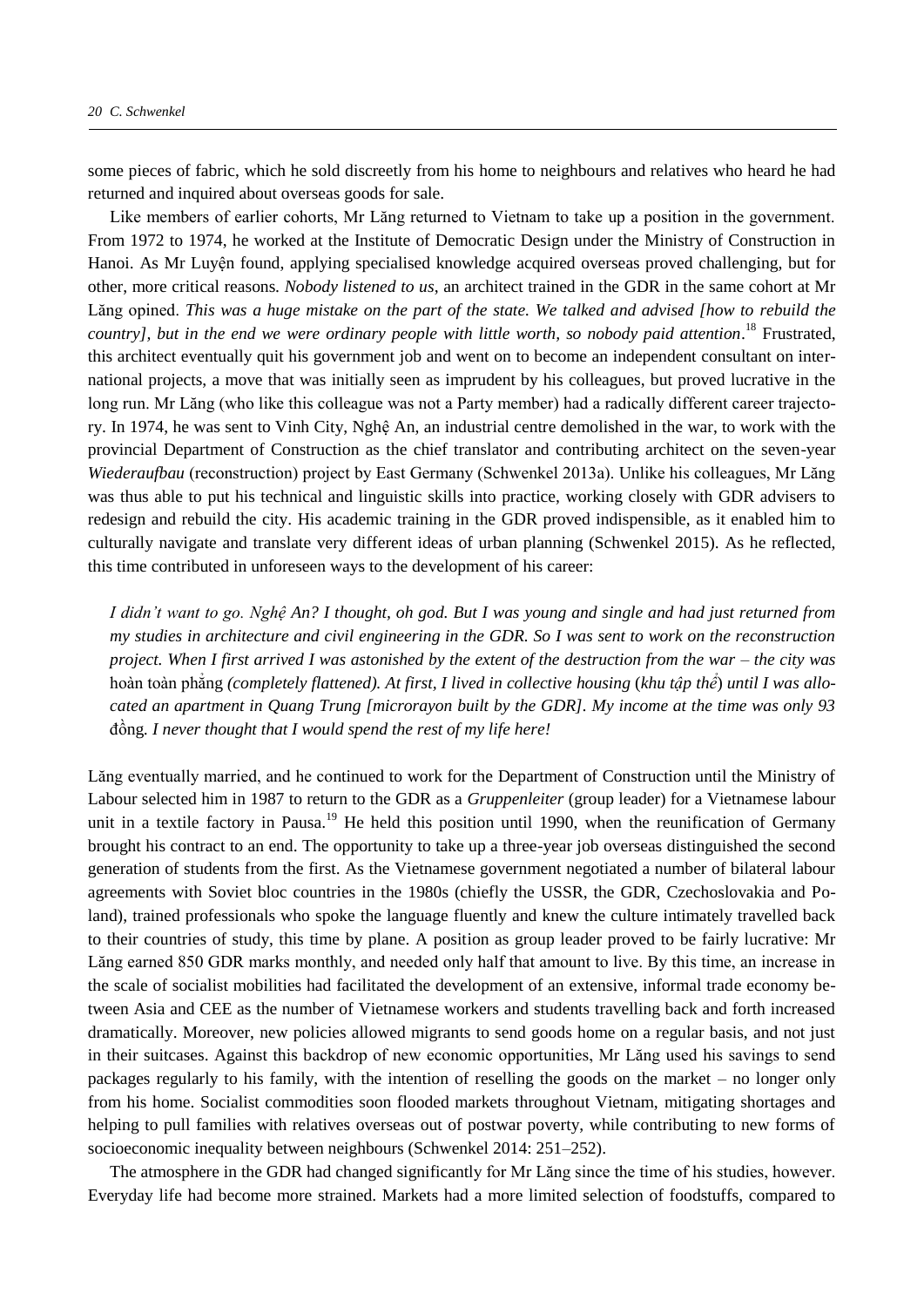some pieces of fabric, which he sold discreetly from his home to neighbours and relatives who heard he had returned and inquired about overseas goods for sale.

Like members of earlier cohorts, Mr Lăng returned to Vietnam to take up a position in the government. From 1972 to 1974, he worked at the Institute of Democratic Design under the Ministry of Construction in Hanoi. As Mr Luyện found, applying specialised knowledge acquired overseas proved challenging, but for other, more critical reasons. *Nobody listened to us*, an architect trained in the GDR in the same cohort at Mr Lăng opined. *This was a huge mistake on the part of the state. We talked and advised [how to rebuild the country], but in the end we were ordinary people with little worth, so nobody paid attention*. <sup>18</sup> Frustrated, this architect eventually quit his government job and went on to become an independent consultant on international projects, a move that was initially seen as imprudent by his colleagues, but proved lucrative in the long run. Mr Lăng (who like this colleague was not a Party member) had a radically different career trajectory. In 1974, he was sent to Vinh City, Nghệ An, an industrial centre demolished in the war, to work with the provincial Department of Construction as the chief translator and contributing architect on the seven-year *Wiederaufbau* (reconstruction) project by East Germany (Schwenkel 2013a). Unlike his colleagues, Mr Lăng was thus able to put his technical and linguistic skills into practice, working closely with GDR advisers to redesign and rebuild the city. His academic training in the GDR proved indispensible, as it enabled him to culturally navigate and translate very different ideas of urban planning (Schwenkel 2015). As he reflected, this time contributed in unforeseen ways to the development of his career:

*I didn't want to go. Nghê An? I thought, oh god. But I was young and single and had just returned from my studies in architecture and civil engineering in the GDR. So I was sent to work on the reconstruction project. When I first arrived I was astonished by the extent of the destruction from the war – the city was*  hoàn toàn phẳng *(completely flattened). At first, I lived in collective housing* (*khu tập thể*) *until I was allocated an apartment in Quang Trung [microrayon built by the GDR]. My income at the time was only 93*  đồng*. I never thought that I would spend the rest of my life here!*

Lăng eventually married, and he continued to work for the Department of Construction until the Ministry of Labour selected him in 1987 to return to the GDR as a *Gruppenleiter* (group leader) for a Vietnamese labour unit in a textile factory in Pausa.<sup>19</sup> He held this position until 1990, when the reunification of Germany brought his contract to an end. The opportunity to take up a three-year job overseas distinguished the second generation of students from the first. As the Vietnamese government negotiated a number of bilateral labour agreements with Soviet bloc countries in the 1980s (chiefly the USSR, the GDR, Czechoslovakia and Poland), trained professionals who spoke the language fluently and knew the culture intimately travelled back to their countries of study, this time by plane. A position as group leader proved to be fairly lucrative: Mr Lăng earned 850 GDR marks monthly, and needed only half that amount to live. By this time, an increase in the scale of socialist mobilities had facilitated the development of an extensive, informal trade economy between Asia and CEE as the number of Vietnamese workers and students travelling back and forth increased dramatically. Moreover, new policies allowed migrants to send goods home on a regular basis, and not just in their suitcases. Against this backdrop of new economic opportunities, Mr Lăng used his savings to send packages regularly to his family, with the intention of reselling the goods on the market – no longer only from his home. Socialist commodities soon flooded markets throughout Vietnam, mitigating shortages and helping to pull families with relatives overseas out of postwar poverty, while contributing to new forms of socioeconomic inequality between neighbours (Schwenkel 2014: 251–252).

The atmosphere in the GDR had changed significantly for Mr Lăng since the time of his studies, however. Everyday life had become more strained. Markets had a more limited selection of foodstuffs, compared to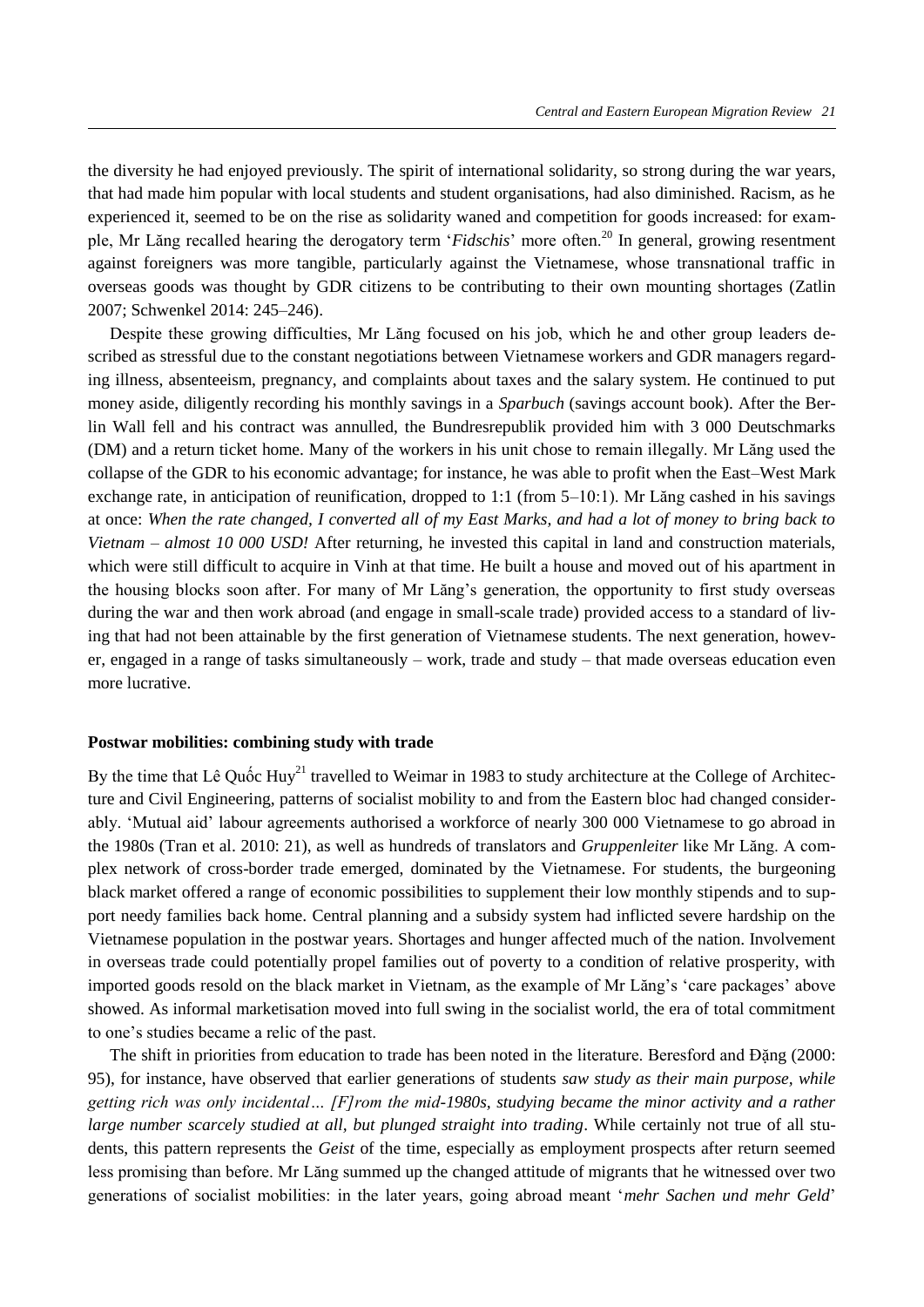the diversity he had enjoyed previously. The spirit of international solidarity, so strong during the war years, that had made him popular with local students and student organisations, had also diminished. Racism, as he experienced it, seemed to be on the rise as solidarity waned and competition for goods increased: for example, Mr Lăng recalled hearing the derogatory term '*Fidschis*' more often.<sup>20</sup> In general, growing resentment against foreigners was more tangible, particularly against the Vietnamese, whose transnational traffic in overseas goods was thought by GDR citizens to be contributing to their own mounting shortages (Zatlin 2007; Schwenkel 2014: 245–246).

Despite these growing difficulties, Mr Lăng focused on his job, which he and other group leaders described as stressful due to the constant negotiations between Vietnamese workers and GDR managers regarding illness, absenteeism, pregnancy, and complaints about taxes and the salary system. He continued to put money aside, diligently recording his monthly savings in a *Sparbuch* (savings account book). After the Berlin Wall fell and his contract was annulled, the Bundresrepublik provided him with 3 000 Deutschmarks (DM) and a return ticket home. Many of the workers in his unit chose to remain illegally. Mr Lăng used the collapse of the GDR to his economic advantage; for instance, he was able to profit when the East–West Mark exchange rate, in anticipation of reunification, dropped to 1:1 (from 5–10:1). Mr Lăng cashed in his savings at once: *When the rate changed, I converted all of my East Marks, and had a lot of money to bring back to Vietnam – almost 10 000 USD!* After returning, he invested this capital in land and construction materials, which were still difficult to acquire in Vinh at that time. He built a house and moved out of his apartment in the housing blocks soon after. For many of Mr Lăng's generation, the opportunity to first study overseas during the war and then work abroad (and engage in small-scale trade) provided access to a standard of living that had not been attainable by the first generation of Vietnamese students. The next generation, however, engaged in a range of tasks simultaneously – work, trade and study – that made overseas education even more lucrative.

## **Postwar mobilities: combining study with trade**

By the time that Lê Quốc Huy<sup>21</sup> travelled to Weimar in 1983 to study architecture at the College of Architecture and Civil Engineering, patterns of socialist mobility to and from the Eastern bloc had changed considerably. 'Mutual aid' labour agreements authorised a workforce of nearly 300 000 Vietnamese to go abroad in the 1980s (Tran et al. 2010: 21), as well as hundreds of translators and *Gruppenleiter* like Mr Lăng. A complex network of cross-border trade emerged, dominated by the Vietnamese. For students, the burgeoning black market offered a range of economic possibilities to supplement their low monthly stipends and to support needy families back home. Central planning and a subsidy system had inflicted severe hardship on the Vietnamese population in the postwar years. Shortages and hunger affected much of the nation. Involvement in overseas trade could potentially propel families out of poverty to a condition of relative prosperity, with imported goods resold on the black market in Vietnam, as the example of Mr Lăng's 'care packages' above showed. As informal marketisation moved into full swing in the socialist world, the era of total commitment to one's studies became a relic of the past.

The shift in priorities from education to trade has been noted in the literature. Beresford and Đặng (2000: 95), for instance, have observed that earlier generations of students *saw study as their main purpose, while getting rich was only incidental… [F]rom the mid-1980s, studying became the minor activity and a rather large number scarcely studied at all, but plunged straight into trading*. While certainly not true of all students, this pattern represents the *Geist* of the time, especially as employment prospects after return seemed less promising than before. Mr Lăng summed up the changed attitude of migrants that he witnessed over two generations of socialist mobilities: in the later years, going abroad meant '*mehr Sachen und mehr Geld*'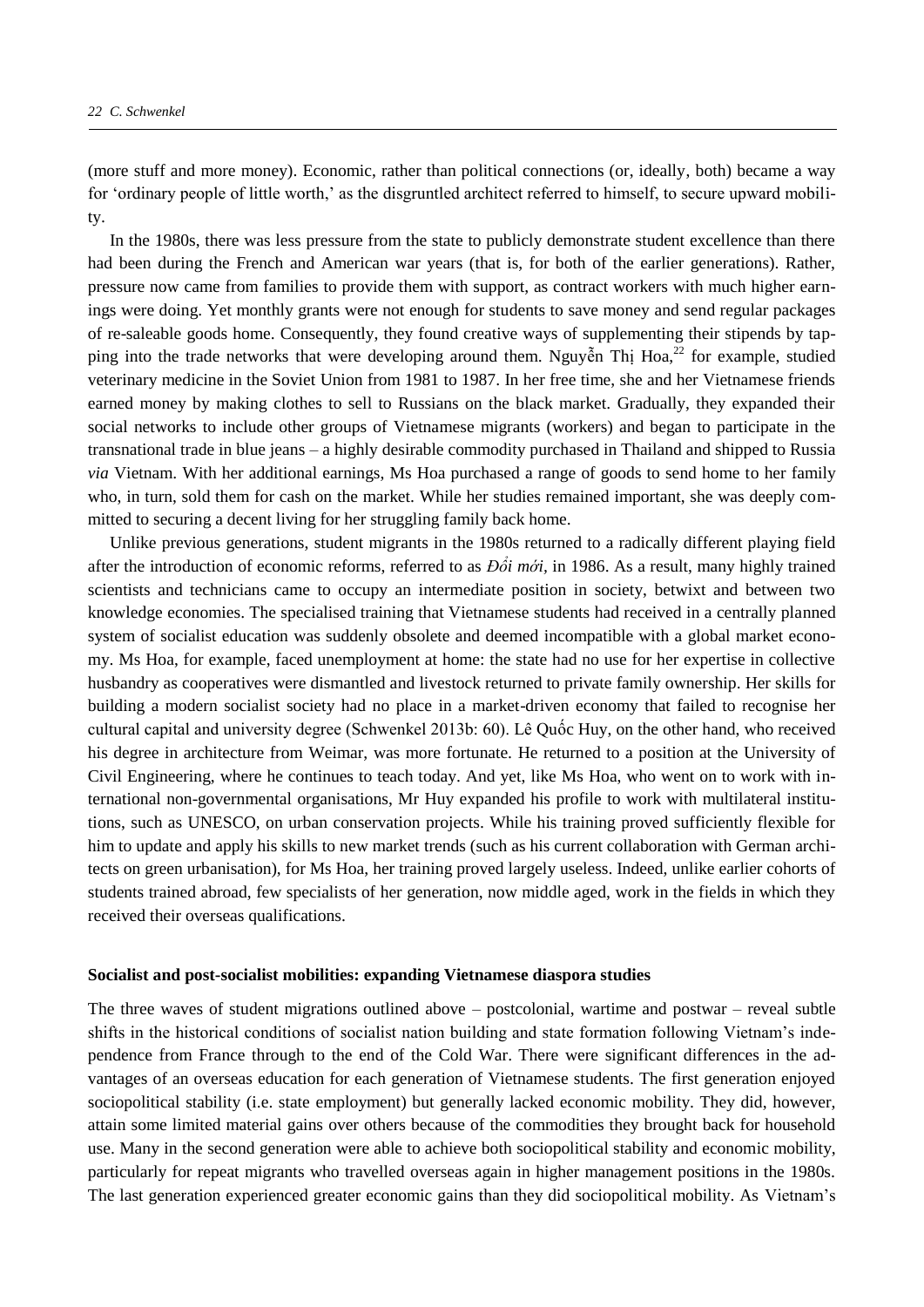(more stuff and more money). Economic, rather than political connections (or, ideally, both) became a way for 'ordinary people of little worth,' as the disgruntled architect referred to himself, to secure upward mobility.

In the 1980s, there was less pressure from the state to publicly demonstrate student excellence than there had been during the French and American war years (that is, for both of the earlier generations). Rather, pressure now came from families to provide them with support, as contract workers with much higher earnings were doing. Yet monthly grants were not enough for students to save money and send regular packages of re-saleable goods home. Consequently, they found creative ways of supplementing their stipends by tapping into the trade networks that were developing around them. Nguyễn Thị Hoa,  $^{22}$  for example, studied veterinary medicine in the Soviet Union from 1981 to 1987. In her free time, she and her Vietnamese friends earned money by making clothes to sell to Russians on the black market. Gradually, they expanded their social networks to include other groups of Vietnamese migrants (workers) and began to participate in the transnational trade in blue jeans – a highly desirable commodity purchased in Thailand and shipped to Russia *via* Vietnam. With her additional earnings, Ms Hoa purchased a range of goods to send home to her family who, in turn, sold them for cash on the market. While her studies remained important, she was deeply committed to securing a decent living for her struggling family back home.

Unlike previous generations, student migrants in the 1980s returned to a radically different playing field after the introduction of economic reforms, referred to as *Đổi mới,* in 1986. As a result, many highly trained scientists and technicians came to occupy an intermediate position in society, betwixt and between two knowledge economies. The specialised training that Vietnamese students had received in a centrally planned system of socialist education was suddenly obsolete and deemed incompatible with a global market economy. Ms Hoa, for example, faced unemployment at home: the state had no use for her expertise in collective husbandry as cooperatives were dismantled and livestock returned to private family ownership. Her skills for building a modern socialist society had no place in a market-driven economy that failed to recognise her cultural capital and university degree (Schwenkel 2013b: 60). Lê Quốc Huy, on the other hand, who received his degree in architecture from Weimar, was more fortunate. He returned to a position at the University of Civil Engineering, where he continues to teach today. And yet, like Ms Hoa, who went on to work with international non-governmental organisations, Mr Huy expanded his profile to work with multilateral institutions, such as UNESCO, on urban conservation projects. While his training proved sufficiently flexible for him to update and apply his skills to new market trends (such as his current collaboration with German architects on green urbanisation), for Ms Hoa, her training proved largely useless. Indeed, unlike earlier cohorts of students trained abroad, few specialists of her generation, now middle aged, work in the fields in which they received their overseas qualifications.

#### **Socialist and post-socialist mobilities: expanding Vietnamese diaspora studies**

The three waves of student migrations outlined above – postcolonial, wartime and postwar – reveal subtle shifts in the historical conditions of socialist nation building and state formation following Vietnam's independence from France through to the end of the Cold War. There were significant differences in the advantages of an overseas education for each generation of Vietnamese students. The first generation enjoyed sociopolitical stability (i.e. state employment) but generally lacked economic mobility. They did, however, attain some limited material gains over others because of the commodities they brought back for household use. Many in the second generation were able to achieve both sociopolitical stability and economic mobility, particularly for repeat migrants who travelled overseas again in higher management positions in the 1980s. The last generation experienced greater economic gains than they did sociopolitical mobility. As Vietnam's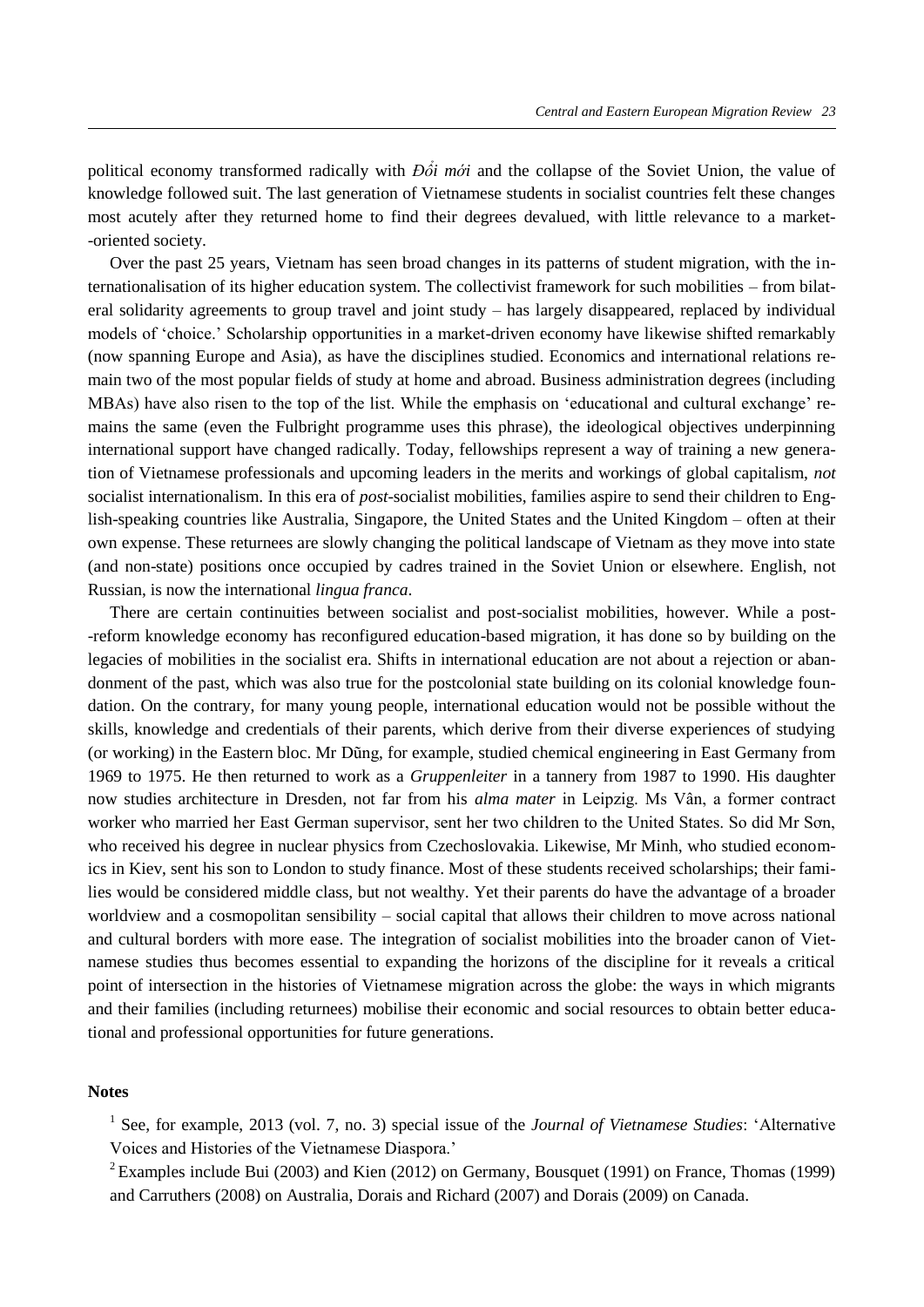political economy transformed radically with *Đổi mới* and the collapse of the Soviet Union, the value of knowledge followed suit. The last generation of Vietnamese students in socialist countries felt these changes most acutely after they returned home to find their degrees devalued, with little relevance to a market- -oriented society.

Over the past 25 years, Vietnam has seen broad changes in its patterns of student migration, with the internationalisation of its higher education system. The collectivist framework for such mobilities – from bilateral solidarity agreements to group travel and joint study – has largely disappeared, replaced by individual models of 'choice.' Scholarship opportunities in a market-driven economy have likewise shifted remarkably (now spanning Europe and Asia), as have the disciplines studied. Economics and international relations remain two of the most popular fields of study at home and abroad. Business administration degrees (including MBAs) have also risen to the top of the list. While the emphasis on 'educational and cultural exchange' remains the same (even the Fulbright programme uses this phrase), the ideological objectives underpinning international support have changed radically. Today, fellowships represent a way of training a new generation of Vietnamese professionals and upcoming leaders in the merits and workings of global capitalism, *not* socialist internationalism. In this era of *post*-socialist mobilities, families aspire to send their children to English-speaking countries like Australia, Singapore, the United States and the United Kingdom – often at their own expense. These returnees are slowly changing the political landscape of Vietnam as they move into state (and non-state) positions once occupied by cadres trained in the Soviet Union or elsewhere. English, not Russian, is now the international *lingua franca*.

There are certain continuities between socialist and post-socialist mobilities, however. While a post- -reform knowledge economy has reconfigured education-based migration, it has done so by building on the legacies of mobilities in the socialist era. Shifts in international education are not about a rejection or abandonment of the past, which was also true for the postcolonial state building on its colonial knowledge foundation. On the contrary, for many young people, international education would not be possible without the skills, knowledge and credentials of their parents, which derive from their diverse experiences of studying (or working) in the Eastern bloc. Mr Dũng, for example, studied chemical engineering in East Germany from 1969 to 1975. He then returned to work as a *Gruppenleiter* in a tannery from 1987 to 1990. His daughter now studies architecture in Dresden, not far from his *alma mater* in Leipzig. Ms Vân, a former contract worker who married her East German supervisor, sent her two children to the United States. So did Mr Son, who received his degree in nuclear physics from Czechoslovakia. Likewise, Mr Minh, who studied economics in Kiev, sent his son to London to study finance. Most of these students received scholarships; their families would be considered middle class, but not wealthy. Yet their parents do have the advantage of a broader worldview and a cosmopolitan sensibility – social capital that allows their children to move across national and cultural borders with more ease. The integration of socialist mobilities into the broader canon of Vietnamese studies thus becomes essential to expanding the horizons of the discipline for it reveals a critical point of intersection in the histories of Vietnamese migration across the globe: the ways in which migrants and their families (including returnees) mobilise their economic and social resources to obtain better educational and professional opportunities for future generations.

### **Notes**

<sup>1</sup> See, for example, 2013 (vol. 7, no. 3) special issue of the *Journal of Vietnamese Studies*: 'Alternative Voices and Histories of the Vietnamese Diaspora.'

<sup>2</sup> Examples include Bui (2003) and Kien (2012) on Germany, Bousquet (1991) on France, Thomas (1999) and Carruthers (2008) on Australia, Dorais and Richard (2007) and Dorais (2009) on Canada.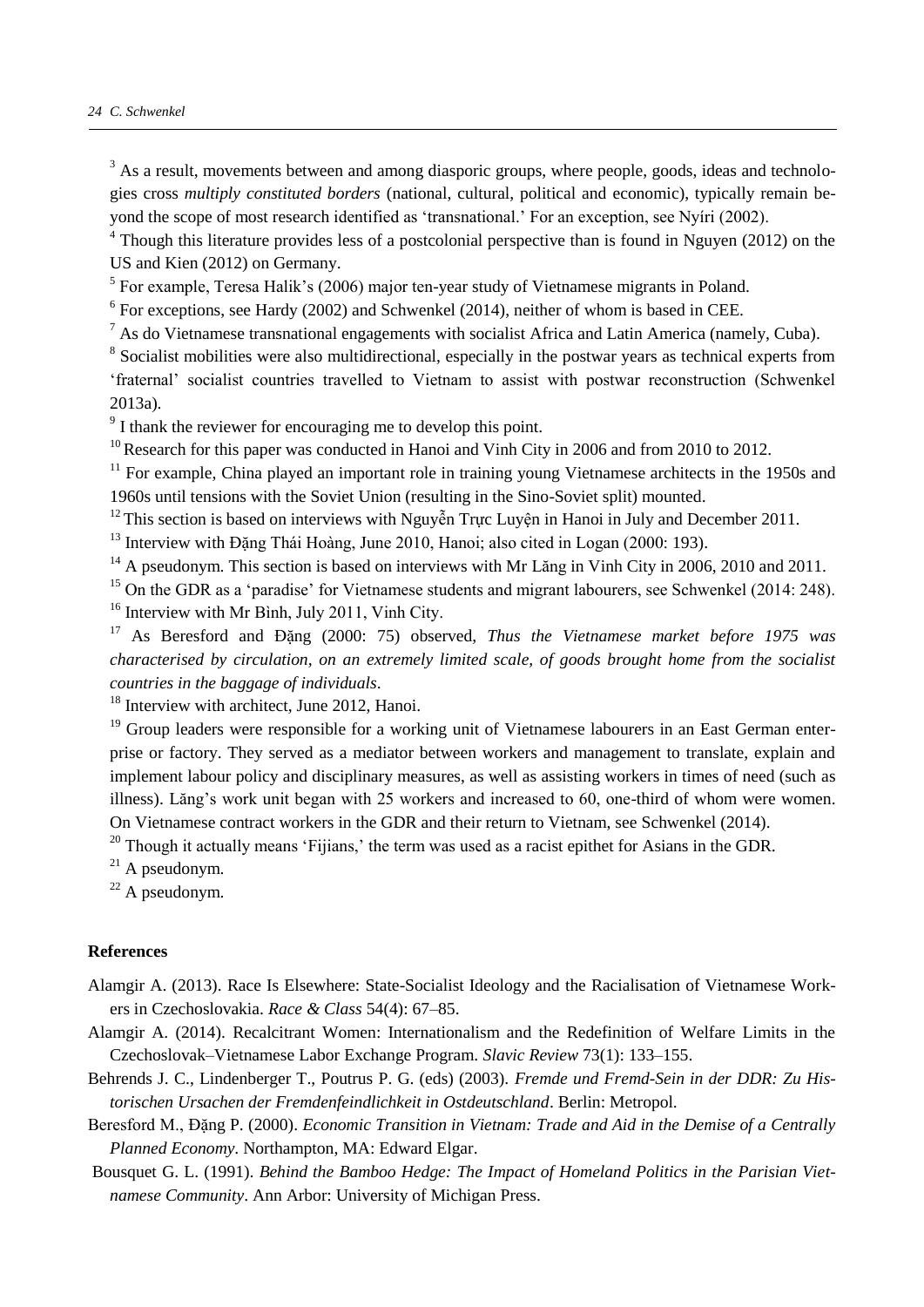## *24 C. Schwenkel*

 $3$  As a result, movements between and among diasporic groups, where people, goods, ideas and technologies cross *multiply constituted borders* (national, cultural, political and economic), typically remain beyond the scope of most research identified as 'transnational.' For an exception, see Nyíri (2002).

<sup>4</sup> Though this literature provides less of a postcolonial perspective than is found in Nguyen (2012) on the US and Kien (2012) on Germany.

 $<sup>5</sup>$  For example, Teresa Halik's (2006) major ten-year study of Vietnamese migrants in Poland.</sup>

 $6$  For exceptions, see Hardy (2002) and Schwenkel (2014), neither of whom is based in CEE.

 $<sup>7</sup>$  As do Vietnamese transnational engagements with socialist Africa and Latin America (namely, Cuba).</sup>

<sup>8</sup> Socialist mobilities were also multidirectional, especially in the postwar years as technical experts from 'fraternal' socialist countries travelled to Vietnam to assist with postwar reconstruction (Schwenkel 2013a).

<sup>9</sup> I thank the reviewer for encouraging me to develop this point.

 $10$  Research for this paper was conducted in Hanoi and Vinh City in 2006 and from 2010 to 2012.

 $11$  For example. China played an important role in training young Vietnamese architects in the 1950s and 1960s until tensions with the Soviet Union (resulting in the Sino-Soviet split) mounted.

 $12$ This section is based on interviews with Nguyễn Trực Luyện in Hanoi in July and December 2011.

 $13$  Interview with Đăng Thái Hoàng, June 2010, Hanoi; also cited in Logan (2000: 193).

 $14$  A pseudonym. This section is based on interviews with Mr Lăng in Vinh City in 2006, 2010 and 2011.

 $15$  On the GDR as a 'paradise' for Vietnamese students and migrant labourers, see Schwenkel (2014: 248). <sup>16</sup> Interview with Mr Bình, July 2011, Vinh City.

<sup>17</sup> As Beresford and Đặng (2000: 75) observed, *Thus the Vietnamese market before 1975 was characterised by circulation, on an extremely limited scale, of goods brought home from the socialist countries in the baggage of individuals*.

<sup>18</sup> Interview with architect, June 2012, Hanoi.

<sup>19</sup> Group leaders were responsible for a working unit of Vietnamese labourers in an East German enterprise or factory. They served as a mediator between workers and management to translate, explain and implement labour policy and disciplinary measures, as well as assisting workers in times of need (such as illness). Lăng's work unit began with 25 workers and increased to 60, one-third of whom were women. On Vietnamese contract workers in the GDR and their return to Vietnam, see Schwenkel (2014).

 $20$  Though it actually means 'Fijians,' the term was used as a racist epithet for Asians in the GDR.

 $^{21}$  A pseudonym.

 $22$  A pseudonym.

## **References**

- Alamgir A. (2013). Race Is Elsewhere: State-Socialist Ideology and the Racialisation of Vietnamese Workers in Czechoslovakia. *Race & Class* 54(4): 67–85.
- Alamgir A. (2014). Recalcitrant Women: Internationalism and the Redefinition of Welfare Limits in the Czechoslovak–Vietnamese Labor Exchange Program. *Slavic Review* 73(1): 133–155.
- Behrends J. C., Lindenberger T., Poutrus P. G. (eds) (2003). *Fremde und Fremd-Sein in der DDR: Zu Historischen Ursachen der Fremdenfeindlichkeit in Ostdeutschland*. Berlin: Metropol.
- Beresford M., Đặng P. (2000). *Economic Transition in Vietnam: Trade and Aid in the Demise of a Centrally Planned Economy*. Northampton, MA: Edward Elgar.
- Bousquet G. L. (1991). *Behind the Bamboo Hedge: The Impact of Homeland Politics in the Parisian Vietnamese Community*. Ann Arbor: University of Michigan Press.